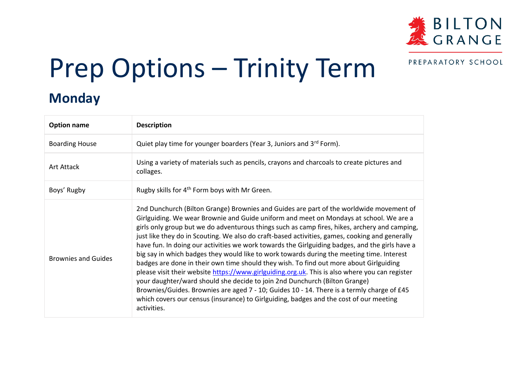

PREPARATORY SCHOOL

## Prep Options – Trinity Term

## **Monday**

| <b>Option name</b>         | <b>Description</b>                                                                                                                                                                                                                                                                                                                                                                                                                                                                                                                                                                                                                                                                                                                                                                                                                                                                                                                                                                                                                                                   |
|----------------------------|----------------------------------------------------------------------------------------------------------------------------------------------------------------------------------------------------------------------------------------------------------------------------------------------------------------------------------------------------------------------------------------------------------------------------------------------------------------------------------------------------------------------------------------------------------------------------------------------------------------------------------------------------------------------------------------------------------------------------------------------------------------------------------------------------------------------------------------------------------------------------------------------------------------------------------------------------------------------------------------------------------------------------------------------------------------------|
| <b>Boarding House</b>      | Quiet play time for younger boarders (Year 3, Juniors and 3rd Form).                                                                                                                                                                                                                                                                                                                                                                                                                                                                                                                                                                                                                                                                                                                                                                                                                                                                                                                                                                                                 |
| Art Attack                 | Using a variety of materials such as pencils, crayons and charcoals to create pictures and<br>collages.                                                                                                                                                                                                                                                                                                                                                                                                                                                                                                                                                                                                                                                                                                                                                                                                                                                                                                                                                              |
| Boys' Rugby                | Rugby skills for 4 <sup>th</sup> Form boys with Mr Green.                                                                                                                                                                                                                                                                                                                                                                                                                                                                                                                                                                                                                                                                                                                                                                                                                                                                                                                                                                                                            |
| <b>Brownies and Guides</b> | 2nd Dunchurch (Bilton Grange) Brownies and Guides are part of the worldwide movement of<br>Girlguiding. We wear Brownie and Guide uniform and meet on Mondays at school. We are a<br>girls only group but we do adventurous things such as camp fires, hikes, archery and camping,<br>just like they do in Scouting. We also do craft-based activities, games, cooking and generally<br>have fun. In doing our activities we work towards the Girlguiding badges, and the girls have a<br>big say in which badges they would like to work towards during the meeting time. Interest<br>badges are done in their own time should they wish. To find out more about Girlguiding<br>please visit their website https://www.girlguiding.org.uk. This is also where you can register<br>your daughter/ward should she decide to join 2nd Dunchurch (Bilton Grange)<br>Brownies/Guides. Brownies are aged 7 - 10; Guides 10 - 14. There is a termly charge of £45<br>which covers our census (insurance) to Girlguiding, badges and the cost of our meeting<br>activities. |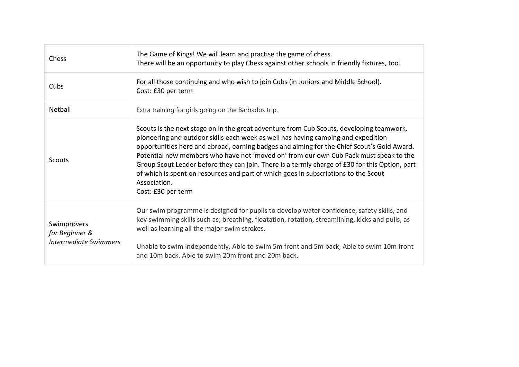| Chess                                                  | The Game of Kings! We will learn and practise the game of chess.<br>There will be an opportunity to play Chess against other schools in friendly fixtures, too!                                                                                                                                                                                                                                                                                                                                                                                                                                     |
|--------------------------------------------------------|-----------------------------------------------------------------------------------------------------------------------------------------------------------------------------------------------------------------------------------------------------------------------------------------------------------------------------------------------------------------------------------------------------------------------------------------------------------------------------------------------------------------------------------------------------------------------------------------------------|
| Cubs                                                   | For all those continuing and who wish to join Cubs (in Juniors and Middle School).<br>Cost: £30 per term                                                                                                                                                                                                                                                                                                                                                                                                                                                                                            |
| Netball                                                | Extra training for girls going on the Barbados trip.                                                                                                                                                                                                                                                                                                                                                                                                                                                                                                                                                |
| Scouts                                                 | Scouts is the next stage on in the great adventure from Cub Scouts, developing teamwork,<br>pioneering and outdoor skills each week as well has having camping and expedition<br>opportunities here and abroad, earning badges and aiming for the Chief Scout's Gold Award.<br>Potential new members who have not 'moved on' from our own Cub Pack must speak to the<br>Group Scout Leader before they can join. There is a termly charge of £30 for this Option, part<br>of which is spent on resources and part of which goes in subscriptions to the Scout<br>Association.<br>Cost: £30 per term |
| Swimprovers<br>for Beginner &<br>Intermediate Swimmers | Our swim programme is designed for pupils to develop water confidence, safety skills, and<br>key swimming skills such as; breathing, floatation, rotation, streamlining, kicks and pulls, as<br>well as learning all the major swim strokes.<br>Unable to swim independently, Able to swim 5m front and 5m back, Able to swim 10m front<br>and 10m back. Able to swim 20m front and 20m back.                                                                                                                                                                                                       |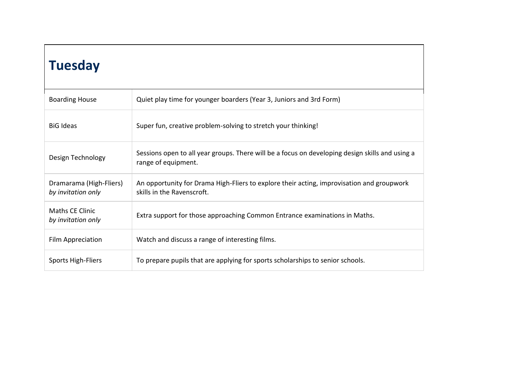| <b>Tuesday</b>                                |                                                                                                                         |  |
|-----------------------------------------------|-------------------------------------------------------------------------------------------------------------------------|--|
| <b>Boarding House</b>                         | Quiet play time for younger boarders (Year 3, Juniors and 3rd Form)                                                     |  |
| <b>BiG Ideas</b>                              | Super fun, creative problem-solving to stretch your thinking!                                                           |  |
| Design Technology                             | Sessions open to all year groups. There will be a focus on developing design skills and using a<br>range of equipment.  |  |
| Dramarama (High-Fliers)<br>by invitation only | An opportunity for Drama High-Fliers to explore their acting, improvisation and groupwork<br>skills in the Ravenscroft. |  |
| <b>Maths CE Clinic</b><br>by invitation only  | Extra support for those approaching Common Entrance examinations in Maths.                                              |  |
| Film Appreciation                             | Watch and discuss a range of interesting films.                                                                         |  |
| <b>Sports High-Fliers</b>                     | To prepare pupils that are applying for sports scholarships to senior schools.                                          |  |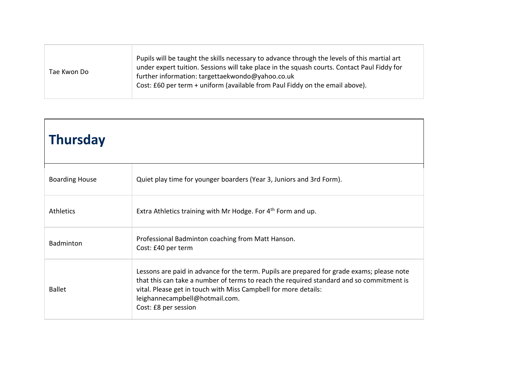| Tae Kwon Do | Pupils will be taught the skills necessary to advance through the levels of this martial art<br>under expert tuition. Sessions will take place in the squash courts. Contact Paul Fiddy for<br>further information: targettaekwondo@yahoo.co.uk<br>Cost: £60 per term + uniform (available from Paul Fiddy on the email above). |
|-------------|---------------------------------------------------------------------------------------------------------------------------------------------------------------------------------------------------------------------------------------------------------------------------------------------------------------------------------|
|-------------|---------------------------------------------------------------------------------------------------------------------------------------------------------------------------------------------------------------------------------------------------------------------------------------------------------------------------------|

┓

 $\overline{1}$ 

| <b>Thursday</b>       |                                                                                                                                                                                                                                                                                                                     |
|-----------------------|---------------------------------------------------------------------------------------------------------------------------------------------------------------------------------------------------------------------------------------------------------------------------------------------------------------------|
| <b>Boarding House</b> | Quiet play time for younger boarders (Year 3, Juniors and 3rd Form).                                                                                                                                                                                                                                                |
| <b>Athletics</b>      | Extra Athletics training with Mr Hodge. For 4 <sup>th</sup> Form and up.                                                                                                                                                                                                                                            |
| Badminton             | Professional Badminton coaching from Matt Hanson.<br>Cost: £40 per term                                                                                                                                                                                                                                             |
| <b>Ballet</b>         | Lessons are paid in advance for the term. Pupils are prepared for grade exams; please note<br>that this can take a number of terms to reach the required standard and so commitment is<br>vital. Please get in touch with Miss Campbell for more details:<br>leighannecampbell@hotmail.com.<br>Cost: £8 per session |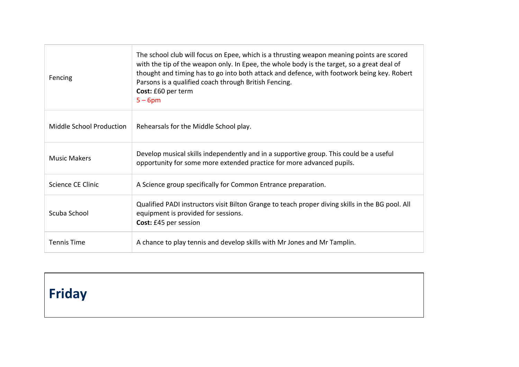| Fencing                  | The school club will focus on Epee, which is a thrusting weapon meaning points are scored<br>with the tip of the weapon only. In Epee, the whole body is the target, so a great deal of<br>thought and timing has to go into both attack and defence, with footwork being key. Robert<br>Parsons is a qualified coach through British Fencing.<br>Cost: £60 per term<br>$5 - 6$ pm |
|--------------------------|------------------------------------------------------------------------------------------------------------------------------------------------------------------------------------------------------------------------------------------------------------------------------------------------------------------------------------------------------------------------------------|
| Middle School Production | Rehearsals for the Middle School play.                                                                                                                                                                                                                                                                                                                                             |
| <b>Music Makers</b>      | Develop musical skills independently and in a supportive group. This could be a useful<br>opportunity for some more extended practice for more advanced pupils.                                                                                                                                                                                                                    |
| Science CE Clinic        | A Science group specifically for Common Entrance preparation.                                                                                                                                                                                                                                                                                                                      |
| Scuba School             | Qualified PADI instructors visit Bilton Grange to teach proper diving skills in the BG pool. All<br>equipment is provided for sessions.<br>Cost: £45 per session                                                                                                                                                                                                                   |
| <b>Tennis Time</b>       | A chance to play tennis and develop skills with Mr Jones and Mr Tamplin.                                                                                                                                                                                                                                                                                                           |

## **Friday**